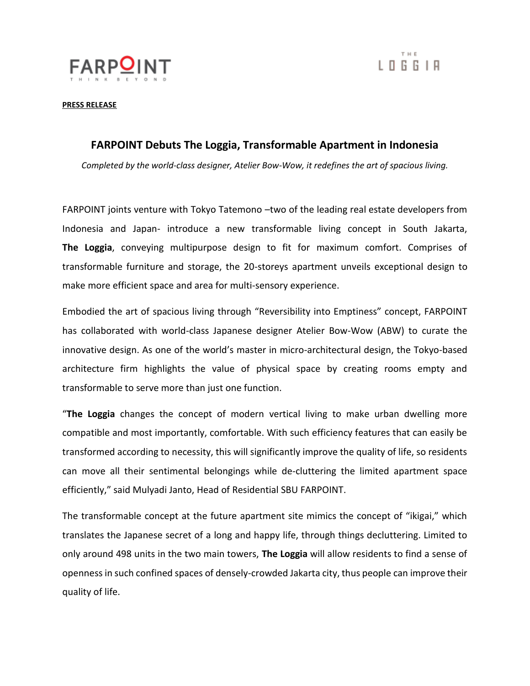



**PRESS RELEASE**

## **FARPOINT Debuts The Loggia, Transformable Apartment in Indonesia**

*Completed by the world-class designer, Atelier Bow-Wow, it redefines the art of spacious living.*

FARPOINT joints venture with Tokyo Tatemono –two of the leading real estate developers from Indonesia and Japan- introduce a new transformable living concept in South Jakarta, **The Loggia**, conveying multipurpose design to fit for maximum comfort. Comprises of transformable furniture and storage, the 20-storeys apartment unveils exceptional design to make more efficient space and area for multi-sensory experience.

Embodied the art of spacious living through "Reversibility into Emptiness" concept, FARPOINT has collaborated with world-class Japanese designer Atelier Bow-Wow (ABW) to curate the innovative design. As [one of the world's master in micro](https://en.wikiarquitectura.com/building/atelier-bow-wow-house/)-architectural design, the Tokyo-based architecture firm highlights the value of physical space by creating rooms empty and transformable to serve more than just one function.

"**The Loggia** changes the concept of modern vertical living to make urban dwelling more compatible and most importantly, comfortable. With such efficiency features that can easily be transformed according to necessity, this will significantly improve the quality of life, so residents can move all their sentimental belongings while de-cluttering the limited apartment space efficiently," said Mulyadi Janto, Head of Residential SBU FARPOINT.

The transformable concept at the future apartment site mimics the concept of "ikigai," which translates the Japanese secret of a long and happy life, through things decluttering. Limited to only around 498 units in the two main towers, **The Loggia** will allow residents to find a sense of openness in such confined spaces of densely-crowded Jakarta city, thus people can improve their quality of life.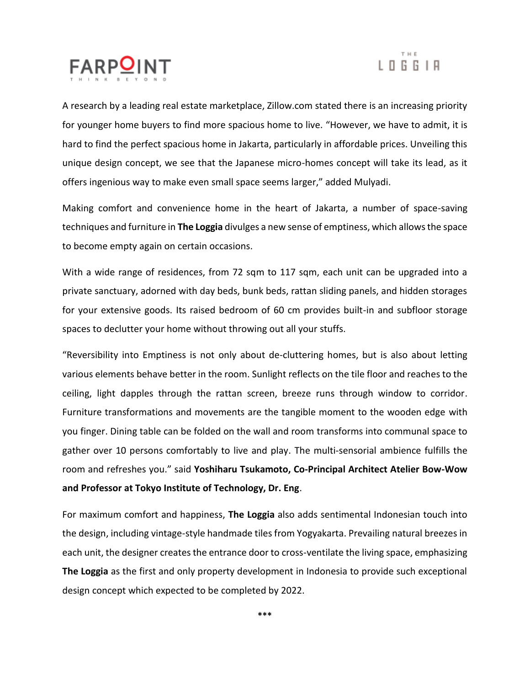



A research by a leading real estate marketplace, Zillow.com stated there is an increasing priority for younger home buyers to find more spacious home to live. "However, we have to admit, it is hard to find the perfect spacious home in Jakarta, particularly in affordable prices. Unveiling this unique design concept, we see that the Japanese micro-homes concept will take its lead, as it offers ingenious way to make even small space seems larger," added Mulyadi.

Making comfort and convenience home in the heart of Jakarta, a number of space-saving techniques and furniture in **The Loggia** divulges a new sense of emptiness, which allows the space to become empty again on certain occasions.

With a wide range of residences, from 72 sqm to 117 sqm, each unit can be upgraded into a private sanctuary, adorned with day beds, bunk beds, rattan sliding panels, and hidden storages for your extensive goods. Its raised bedroom of 60 cm provides built-in and subfloor storage spaces to declutter your home without throwing out all your stuffs.

"Reversibility into Emptiness is not only about de-cluttering homes, but is also about letting various elements behave better in the room. Sunlight reflects on the tile floor and reaches to the ceiling, light dapples through the rattan screen, breeze runs through window to corridor. Furniture transformations and movements are the tangible moment to the wooden edge with you finger. Dining table can be folded on the wall and room transforms into communal space to gather over 10 persons comfortably to live and play. The multi-sensorial ambience fulfills the room and refreshes you." said **Yoshiharu Tsukamoto, Co-Principal Architect Atelier Bow-Wow and Professor at Tokyo Institute of Technology, Dr. Eng**.

For maximum comfort and happiness, **The Loggia** also adds sentimental Indonesian touch into the design, including vintage-style handmade tiles from Yogyakarta. Prevailing natural breezes in each unit, the designer creates the entrance door to cross-ventilate the living space, emphasizing **The Loggia** as the first and only property development in Indonesia to provide such exceptional design concept which expected to be completed by 2022.